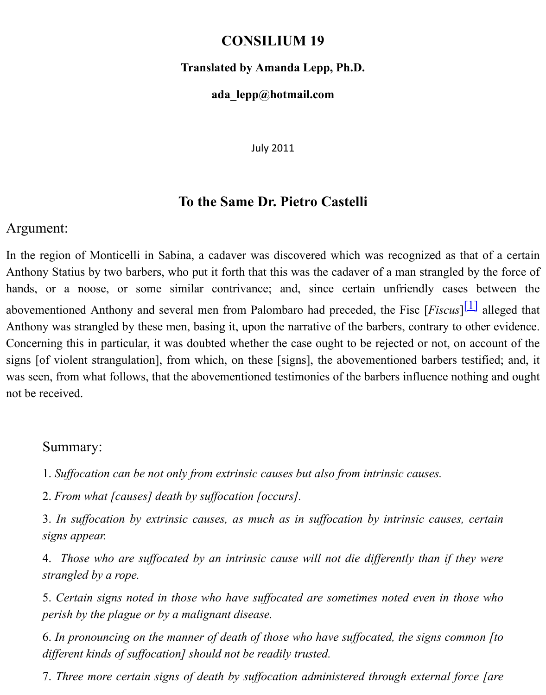## **ada\_lepp@hotmail.com**

<span id="page-0-0"></span>July 2011

## **To the Same Dr. Pietro Castelli**

## Argument:

In the region of Monticelli in Sabina, a cadaver was discovered which was recognized as that of a certain Anthony Statius by two barbers, who put it forth that this was the cadaver of a man strangled hands, or a noose, or some similar contrivance; and, since certain unfriendly case abovementioned Anthony and several men from Palombaro had preceded, the Fisc [*Fiscus*] Anthony was strangled by these men, basing it, upon the narrative of the barbers, contrary to Concerning this in particular, it was doubted whether the case ought to be rejected or not, or signs [of violent strangulation], from which, on these [signs], the abovementioned barbers t was seen, from what follows, that the abovementioned testimonies of the barbers influence no not be received.

## Summary:

1. *Suffocation can be not only from extrinsic causes but also from intrinsic causes.*

2. *From what [causes] death by suffocation [occurs].*

3. In suffocation by extrinsic causes, as much as in suffocation by intrinsic causes, *signs appear.*

4. *Those who are suffocated by an intrinsic cause will not die differently than if th strangled by a rope.*

5. Certain signs noted in those who have suffocated are sometimes noted even in the *perish by the plague or by a malignant disease.*

6. In pronouncing on the manner of death of those who have suffocated, the signs com *different kinds of suffocation] should not be readily trusted.*

7. Three more certain signs of death by suffocation administered through external fo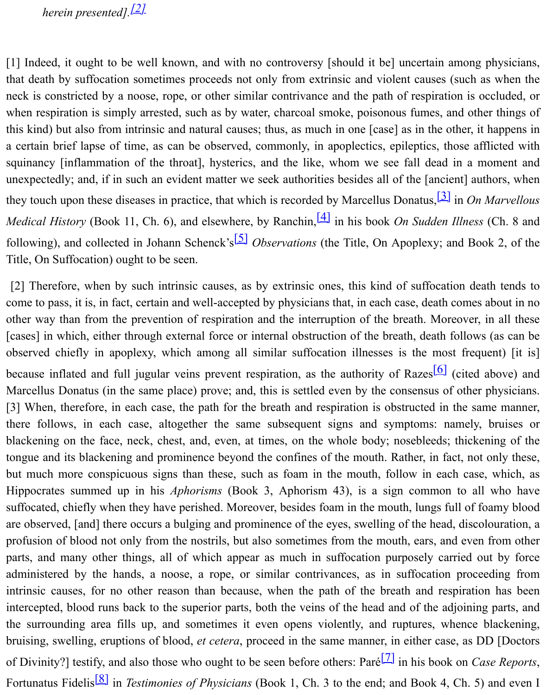<span id="page-1-0"></span>neck is constricted by a noose, rope, or other similar contrivance and the path of respiration is occluded, or when respiration is simpl[y ar](#page-3-0)rested, such as by water, charcoal smoke, poisonous fumes, and this kind) but also from intrinsic and natural causes; thus, as much in one [case] as in the other a certain brief lapse of time, as can be observed, commonly, in apoplectics, epileptics, those squinancy [inflammation of the throat], hysterics, and the like, whom we see fall dead in unexpectedly; and, if in such an evident matter we seek authorities besides all of the [ancient] they touch upon these diseases in practice, that which is recorded by Marcellus Donatus,<sup>[3]</sup> in *Medical History* (Book 11, Ch. 6), and elsewhere, by Ranchin, <sup>[4]</sup> in his book *On Sudden Ill*. following), and collected in Johann Schenck's<sup>[5]</sup> *Observations* (the Title, On Apoplexy; and Title, On Suffocation) ought to be seen.

<span id="page-1-5"></span><span id="page-1-4"></span><span id="page-1-3"></span><span id="page-1-2"></span><span id="page-1-1"></span>[2] Therefore, when by such intrinsic causes, as by extrinsic ones, this kind of suffo[cati](#page-3-1)on come to pass, it is, in fact, certain and well-accepted by physicians that, in each case, death com other way than from the prevention of respiration and the int[erru](#page-3-2)ption of the breath. Moreo [cases] in which, either through external force [or](#page-3-3) internal obstruction of the breath, death fol observed chiefly in apoplexy, which among all similar suffocation illnesses is the most 1 because inflated and full jugular veins prevent respiration, as the authority of Razes<sup>[6]</sup> (ci Marcellus Donatus (in the same place) prove; and, this is settled even by the consensus of other physicians. [3] When, therefore, in each case, the path for the breath and respiration is obstructed in the there follows, in each case, altogether the same subsequent signs and symptoms: nam blackening on the face, neck, chest, and, even, at times, on the whole body; nosebleeds; the tongue and its blackening and prominence beyond the confines of the mouth. Rather, in fact, but much more conspicuous signs than these, such as foam in the mouth, follow in [eac](#page-3-4)h Hippocrates summed up in his *Aphorisms* (Book 3, Aphorism 43), is a sign common to suffocated, chiefly when they have perished. Moreover, besides foam in the mouth, lungs full are observed, [and] there occurs a bulging and prominence of the eyes, swelling of the head, d profusion of blood not only from the nostrils, but also sometimes from the mouth, ears, and  $\epsilon$ parts, and many other things, all of which appear as much in suffocation purposely carried administered by the hands, a noose, a rope, or similar contrivances, as in suffocation proceeding from the hands, a noose, a rope, or similar contrivances, as in suffocation proceeding from  $\alpha$ intrinsic causes, for no other reason than because, when the path of the breath and respiration has been had intercepted, blood runs back to the superior parts, both the veins of the head and of the adjointhe surrounding area fills up, and sometimes it even opens violently, and ruptures, when bruising, swelling, eruptions of blood, *et cetera*, proceed in the same manner, in either case, of Divinity?] testify, and also those who ought to be seen before others: Paré<sup>[7]</sup> in his book on Fortunatus Fidelis<sup>[8]</sup> in *Testimonies of Physicians* (Book 1, Ch. 3 to the end; and Book 4, Cl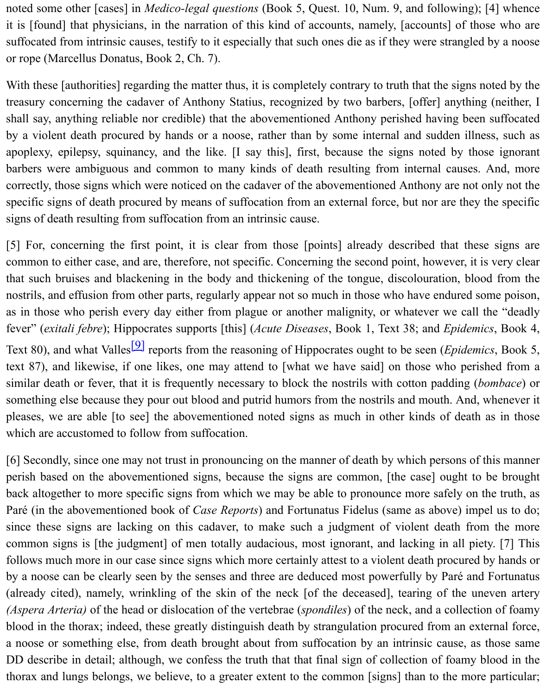treasury concerning the cadaver of Anthony Statius, recognized by two barbers, [offer] anyther shall say, anything reliable nor credible) that the abovementioned Anthony perished having by a violent death procured by hands or a noose, rather than by some internal and sudden apoplexy, epilepsy, squinancy, and the like. [I say this], first, because the signs noted by barbers were ambiguous and common to many kinds of death resulting from internal cau correctly, those signs which were noticed on the cadaver of the abovementioned Anthony are not only not the subset specific signs of death procured by means of suffocation from an external force, but nor are t signs of death resulting from suffocation from an intrinsic cause.

[5] For, concerning the first point, it is clear from those [points] already described that common to either case, and are, therefore, not specific. Concerning the second point, however, that such bruises and blackening in the body and thickening of the tongue, discolouration, nostrils, and effusion from other parts, regularly appear not so much in those who have endure as in those who perish every day either from plague or another malignity, or whatever we or fever" (*exitali febre*); Hippocrates supports [this] (*Acute Diseases*, Book 1, Text 38; and *Epid* Text 80), and what Valles<sup>[9]</sup> reports from the reasoning of Hippocrates ought to be seen (*Epid*) text 87), and likewise, if one likes, one may attend to [what we have said] on those who p similar death or fever, that it is frequently necessary to block the nostrils with cotton paddin something else because they pour out blood and putrid humors from the nostrils and mouth. A pleases, we are able [to see] the abovementioned noted signs as much in other kinds of dewhich are accustomed to [foll](#page-3-5)ow from suffocation.

[6] Secondly, since one may not trust in pronouncing on the manner of death by which persons perish based on the abovementioned signs, because the signs are common, [the case] ough back altogether to more specific signs from which we may be able to pronounce more safely Paré (in the abovementioned book of *Case Reports*) and Fortunatus Fidelus (same as above) since these signs are lacking on this cadaver, to make such a judgment of violent death common signs is [the judgment] of men totally audacious, most ignorant, and lacking in all follows much more in our case since signs which more certainly attest to a violent death procu by a noose can be clearly seen by the senses and three are deduced most powerfully by Paré (already cited), namely, wrinkling of the skin of the neck [of the deceased], tearing of the *(Aspera Arteria)* of the head or dislocation of the vertebrae *(spondiles)* of the neck, and a collection blood in the thorax; indeed, these greatly distinguish death by strangulation procured from an a noose or something else, from death brought about from suffocation by an intrinsic cause DD describe in detail; although, we confess the truth that that final sign of collection of foam thorax and lungs belongs, we believe, to a greater extent to the common [signs] than to the more particular;